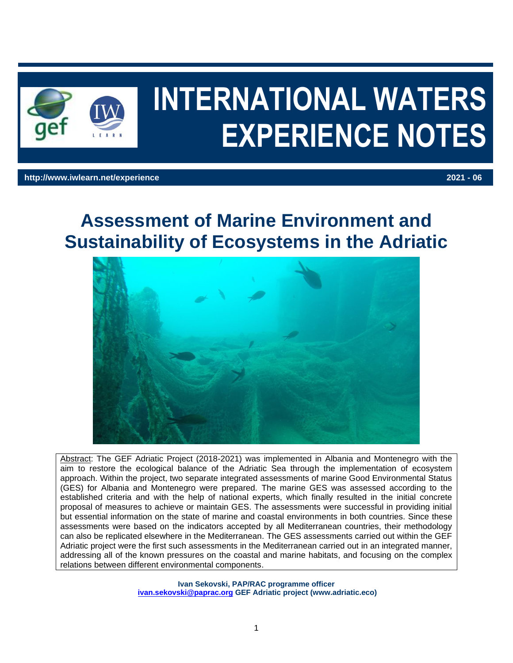

# **INTERNATIONAL WATERS EXPERIENCE NOTES**

#### **http://www.iwlearn.net/experience 2021 - 06**

# **Assessment of Marine Environment and Sustainability of Ecosystems in the Adriatic**



Abstract: The GEF Adriatic Project (2018-2021) was implemented in Albania and Montenegro with the aim to restore the ecological balance of the Adriatic Sea through the implementation of ecosystem approach. Within the project, two separate integrated assessments of marine Good Environmental Status (GES) for Albania and Montenegro were prepared. The marine GES was assessed according to the established criteria and with the help of national experts, which finally resulted in the initial concrete proposal of measures to achieve or maintain GES. The assessments were successful in providing initial but essential information on the state of marine and coastal environments in both countries. Since these assessments were based on the indicators accepted by all Mediterranean countries, their methodology can also be replicated elsewhere in the Mediterranean. The GES assessments carried out within the GEF Adriatic project were the first such assessments in the Mediterranean carried out in an integrated manner, addressing all of the known pressures on the coastal and marine habitats, and focusing on the complex relations between different environmental components.

> **Ivan Sekovski, PAP/RAC programme officer [ivan.sekovski@paprac.org](mailto:ivan.sekovski@paprac.org) GEF Adriatic project (www.adriatic.eco)**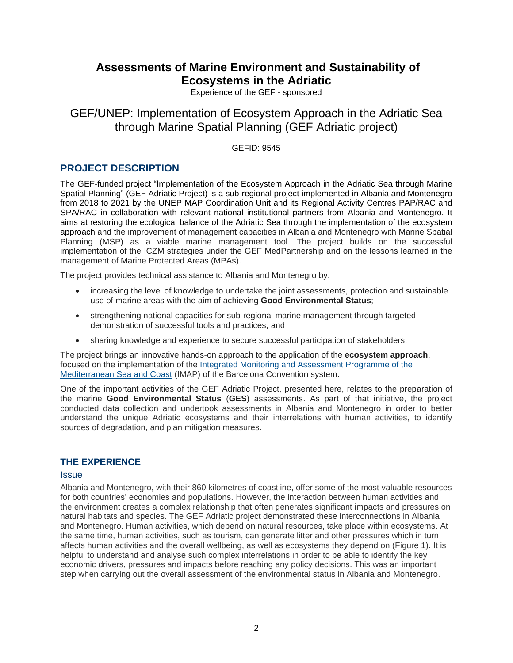# **Assessments of Marine Environment and Sustainability of Ecosystems in the Adriatic**

Experience of the GEF - sponsored

GEF/UNEP: Implementation of Ecosystem Approach in the Adriatic Sea through Marine Spatial Planning (GEF Adriatic project)

GEFID: 9545

## **PROJECT DESCRIPTION**

The GEF-funded project "Implementation of the Ecosystem Approach in the Adriatic Sea through Marine Spatial Planning" (GEF Adriatic Project) is a sub-regional project implemented in Albania and Montenegro from 2018 to 2021 by the UNEP MAP Coordination Unit and its Regional Activity Centres PAP/RAC and SPA/RAC in collaboration with relevant national institutional partners from Albania and Montenegro. It aims at restoring the ecological balance of the Adriatic Sea through the implementation of the ecosystem approach and the improvement of management capacities in Albania and Montenegro with Marine Spatial Planning (MSP) as a viable marine management tool. The project builds on the successful implementation of the ICZM strategies under the GEF MedPartnership and on the lessons learned in the management of Marine Protected Areas (MPAs).

The project provides technical assistance to Albania and Montenegro by:

- increasing the level of knowledge to undertake the joint assessments, protection and sustainable use of marine areas with the aim of achieving **Good Environmental Status**;
- strengthening national capacities for sub-regional marine management through targeted demonstration of successful tools and practices; and
- sharing knowledge and experience to secure successful participation of stakeholders.

The project brings an innovative hands-on approach to the application of the **ecosystem approach**, focused on the implementation of the [Integrated Monitoring and Assessment Programme of the](https://www.medqsr.org/integrated-monitoring-and-assessment-programme-mediterranean-sea-and-coast)  Mediterranean [Sea and Coast](https://www.medqsr.org/integrated-monitoring-and-assessment-programme-mediterranean-sea-and-coast) (IMAP) of the Barcelona Convention system.

One of the important activities of the GEF Adriatic Project, presented here, relates to the preparation of the marine **Good Environmental Status** (**GES**) assessments. As part of that initiative, the project conducted data collection and undertook assessments in Albania and Montenegro in order to better understand the unique Adriatic ecosystems and their interrelations with human activities, to identify sources of degradation, and plan mitigation measures.

### **THE EXPERIENCE**

#### **Issue**

Albania and Montenegro, with their 860 kilometres of coastline, offer some of the most valuable resources for both countries' economies and populations. However, the interaction between human activities and the environment creates a complex relationship that often generates significant impacts and pressures on natural habitats and species. The GEF Adriatic project demonstrated these interconnections in Albania and Montenegro. Human activities, which depend on natural resources, take place within ecosystems. At the same time, human activities, such as tourism, can generate litter and other pressures which in turn affects human activities and the overall wellbeing, as well as ecosystems they depend on (Figure 1). It is helpful to understand and analyse such complex interrelations in order to be able to identify the key economic drivers, pressures and impacts before reaching any policy decisions. This was an important step when carrying out the overall assessment of the environmental status in Albania and Montenegro.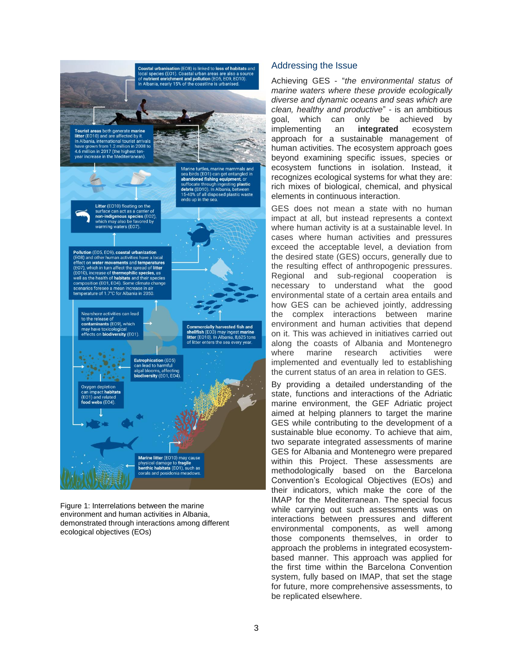

Figure 1: Interrelations between the marine environment and human activities in Albania, demonstrated through interactions among different ecological objectives (EOs)

#### Addressing the Issue

Achieving GES - "*the environmental status of marine waters where these provide ecologically diverse and dynamic oceans and seas which are clean, healthy and productive*" - is an ambitious goal, which can only be achieved by implementing an **integrated** ecosystem approach for a sustainable management of human activities. The ecosystem approach goes beyond examining specific issues, species or ecosystem functions in isolation. Instead, it recognizes ecological systems for what they are: rich mixes of biological, chemical, and physical elements in continuous interaction.

GES does not mean a state with no human impact at all, but instead represents a context where human activity is at a sustainable level. In cases where human activities and pressures exceed the acceptable level, a deviation from the desired state (GES) occurs, generally due to the resulting effect of anthropogenic pressures. Regional and sub-regional cooperation is necessary to understand what the good environmental state of a certain area entails and how GES can be achieved jointly, addressing the complex interactions between marine environment and human activities that depend on it. This was achieved in initiatives carried out along the coasts of Albania and Montenegro where marine research activities were implemented and eventually led to establishing the current status of an area in relation to GES.

By providing a detailed understanding of the state, functions and interactions of the Adriatic marine environment, the GEF Adriatic project aimed at helping planners to target the marine GES while contributing to the development of a sustainable blue economy. To achieve that aim, two separate integrated assessments of marine GES for Albania and Montenegro were prepared within this Project. These assessments are methodologically based on the Barcelona Convention's Ecological Objectives (EOs) and their indicators, which make the core of the IMAP for the Mediterranean. The special focus while carrying out such assessments was on interactions between pressures and different environmental components, as well among those components themselves, in order to approach the problems in integrated ecosystembased manner. This approach was applied for the first time within the Barcelona Convention system, fully based on IMAP, that set the stage for future, more comprehensive assessments, to be replicated elsewhere.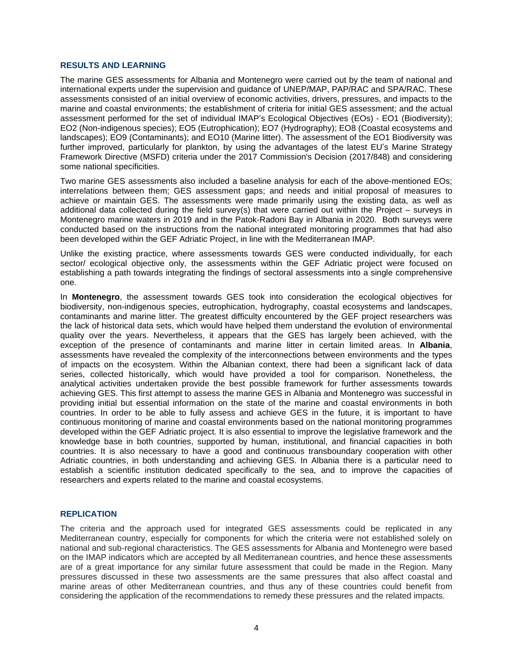#### **RESULTS AND LEARNING**

The marine GES assessments for Albania and Montenegro were carried out by the team of national and international experts under the supervision and guidance of UNEP/MAP, PAP/RAC and SPA/RAC. These assessments consisted of an initial overview of economic activities, drivers, pressures, and impacts to the marine and coastal environments; the establishment of criteria for initial GES assessment; and the actual assessment performed for the set of individual IMAP's Ecological Objectives (EOs) - EO1 (Biodiversity); EO2 (Non-indigenous species); EO5 (Eutrophication); EO7 (Hydrography); EO8 (Coastal ecosystems and landscapes); EO9 (Contaminants); and EO10 (Marine litter). The assessment of the EO1 Biodiversity was further improved, particularly for plankton, by using the advantages of the latest EU's Marine Strategy Framework Directive (MSFD) criteria under the 2017 Commission's Decision (2017/848) and considering some national specificities.

Two marine GES assessments also included a baseline analysis for each of the above-mentioned EOs; interrelations between them; GES assessment gaps; and needs and initial proposal of measures to achieve or maintain GES. The assessments were made primarily using the existing data, as well as additional data collected during the field survey(s) that were carried out within the Project – surveys in Montenegro marine waters in 2019 and in the Patok-Radoni Bay in Albania in 2020. Both surveys were conducted based on the instructions from the national integrated monitoring programmes that had also been developed within the GEF Adriatic Project, in line with the Mediterranean IMAP.

Unlike the existing practice, where assessments towards GES were conducted individually, for each sector/ ecological objective only, the assessments within the GEF Adriatic project were focused on establishing a path towards integrating the findings of sectoral assessments into a single comprehensive one.

In **Montenegro**, the assessment towards GES took into consideration the ecological objectives for biodiversity, non-indigenous species, eutrophication, hydrography, coastal ecosystems and landscapes, contaminants and marine litter. The greatest difficulty encountered by the GEF project researchers was the lack of historical data sets, which would have helped them understand the evolution of environmental quality over the years. Nevertheless, it appears that the GES has largely been achieved, with the exception of the presence of contaminants and marine litter in certain limited areas. In **Albania**, assessments have revealed the complexity of the interconnections between environments and the types of impacts on the ecosystem. Within the Albanian context, there had been a significant lack of data series, collected historically, which would have provided a tool for comparison. Nonetheless, the analytical activities undertaken provide the best possible framework for further assessments towards achieving GES. This first attempt to assess the marine GES in Albania and Montenegro was successful in providing initial but essential information on the state of the marine and coastal environments in both countries. In order to be able to fully assess and achieve GES in the future, it is important to have continuous monitoring of marine and coastal environments based on the national monitoring programmes developed within the GEF Adriatic project. It is also essential to improve the legislative framework and the knowledge base in both countries, supported by human, institutional, and financial capacities in both countries. It is also necessary to have a good and continuous transboundary cooperation with other Adriatic countries, in both understanding and achieving GES. In Albania there is a particular need to establish a scientific institution dedicated specifically to the sea, and to improve the capacities of researchers and experts related to the marine and coastal ecosystems.

#### **REPLICATION**

The criteria and the approach used for integrated GES assessments could be replicated in any Mediterranean country, especially for components for which the criteria were not established solely on national and sub-regional characteristics. The GES assessments for Albania and Montenegro were based on the IMAP indicators which are accepted by all Mediterranean countries, and hence these assessments are of a great importance for any similar future assessment that could be made in the Region. Many pressures discussed in these two assessments are the same pressures that also affect coastal and marine areas of other Mediterranean countries, and thus any of these countries could benefit from considering the application of the recommendations to remedy these pressures and the related impacts.